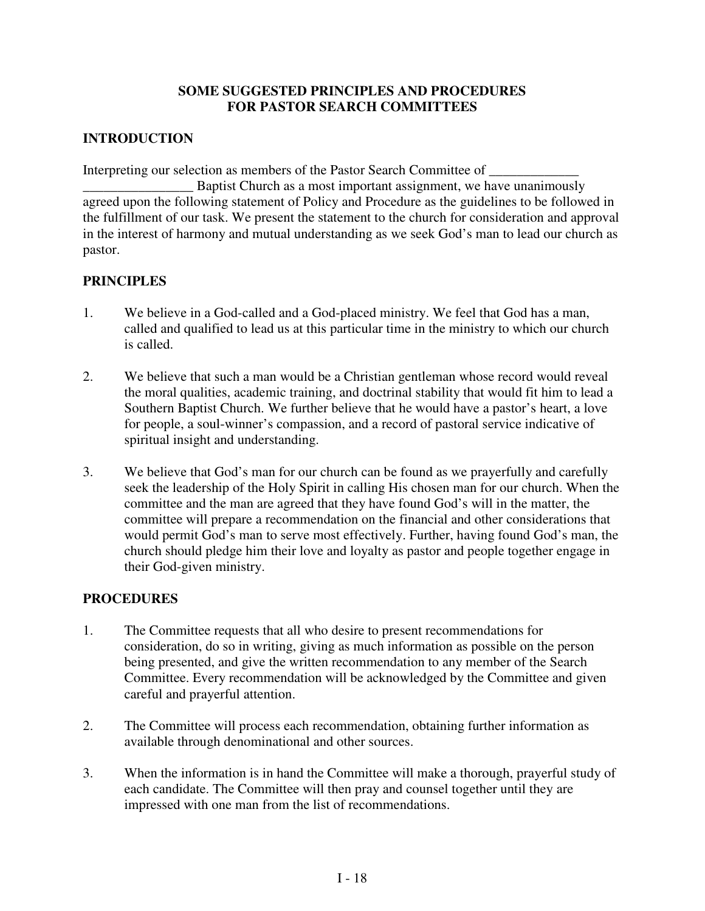### **SOME SUGGESTED PRINCIPLES AND PROCEDURES FOR PASTOR SEARCH COMMITTEES**

## **INTRODUCTION**

Interpreting our selection as members of the Pastor Search Committee of \_\_\_\_\_\_\_\_\_

Baptist Church as a most important assignment, we have unanimously agreed upon the following statement of Policy and Procedure as the guidelines to be followed in the fulfillment of our task. We present the statement to the church for consideration and approval in the interest of harmony and mutual understanding as we seek God's man to lead our church as pastor.

## **PRINCIPLES**

- 1. We believe in a God-called and a God-placed ministry. We feel that God has a man, called and qualified to lead us at this particular time in the ministry to which our church is called.
- 2. We believe that such a man would be a Christian gentleman whose record would reveal the moral qualities, academic training, and doctrinal stability that would fit him to lead a Southern Baptist Church. We further believe that he would have a pastor's heart, a love for people, a soul-winner's compassion, and a record of pastoral service indicative of spiritual insight and understanding.
- 3. We believe that God's man for our church can be found as we prayerfully and carefully seek the leadership of the Holy Spirit in calling His chosen man for our church. When the committee and the man are agreed that they have found God's will in the matter, the committee will prepare a recommendation on the financial and other considerations that would permit God's man to serve most effectively. Further, having found God's man, the church should pledge him their love and loyalty as pastor and people together engage in their God-given ministry.

## **PROCEDURES**

- 1. The Committee requests that all who desire to present recommendations for consideration, do so in writing, giving as much information as possible on the person being presented, and give the written recommendation to any member of the Search Committee. Every recommendation will be acknowledged by the Committee and given careful and prayerful attention.
- 2. The Committee will process each recommendation, obtaining further information as available through denominational and other sources.
- 3. When the information is in hand the Committee will make a thorough, prayerful study of each candidate. The Committee will then pray and counsel together until they are impressed with one man from the list of recommendations.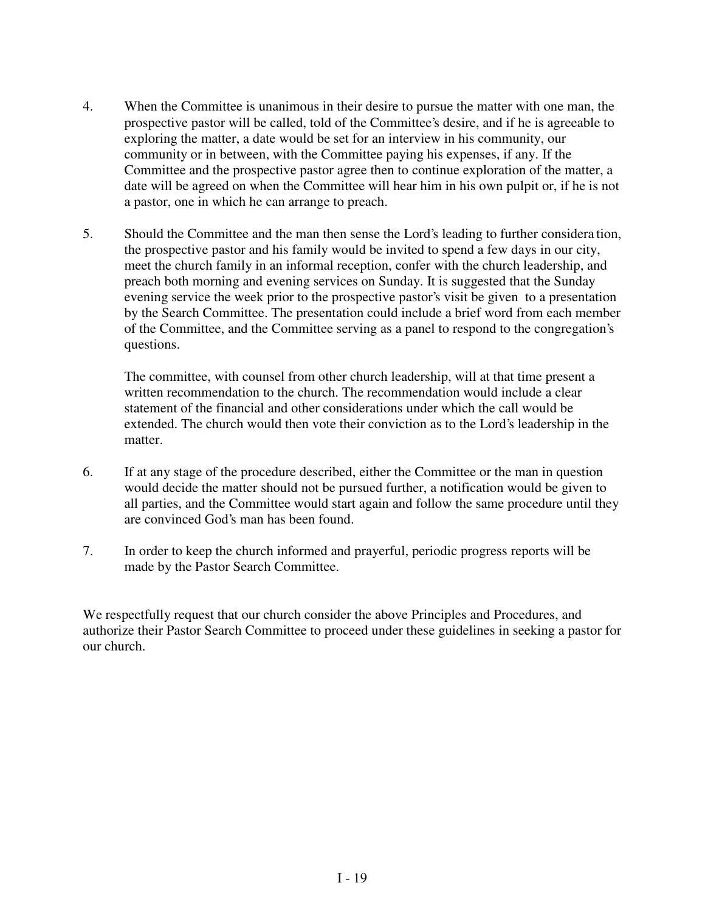- 4. When the Committee is unanimous in their desire to pursue the matter with one man, the prospective pastor will be called, told of the Committee's desire, and if he is agreeable to exploring the matter, a date would be set for an interview in his community, our community or in between, with the Committee paying his expenses, if any. If the Committee and the prospective pastor agree then to continue exploration of the matter, a date will be agreed on when the Committee will hear him in his own pulpit or, if he is not a pastor, one in which he can arrange to preach.
- 5. Should the Committee and the man then sense the Lord's leading to further considera tion, the prospective pastor and his family would be invited to spend a few days in our city, meet the church family in an informal reception, confer with the church leadership, and preach both morning and evening services on Sunday. It is suggested that the Sunday evening service the week prior to the prospective pastor's visit be given to a presentation by the Search Committee. The presentation could include a brief word from each member of the Committee, and the Committee serving as a panel to respond to the congregation's questions.

The committee, with counsel from other church leadership, will at that time present a written recommendation to the church. The recommendation would include a clear statement of the financial and other considerations under which the call would be extended. The church would then vote their conviction as to the Lord's leadership in the matter.

- 6. If at any stage of the procedure described, either the Committee or the man in question would decide the matter should not be pursued further, a notification would be given to all parties, and the Committee would start again and follow the same procedure until they are convinced God's man has been found.
- 7. In order to keep the church informed and prayerful, periodic progress reports will be made by the Pastor Search Committee.

We respectfully request that our church consider the above Principles and Procedures, and authorize their Pastor Search Committee to proceed under these guidelines in seeking a pastor for our church.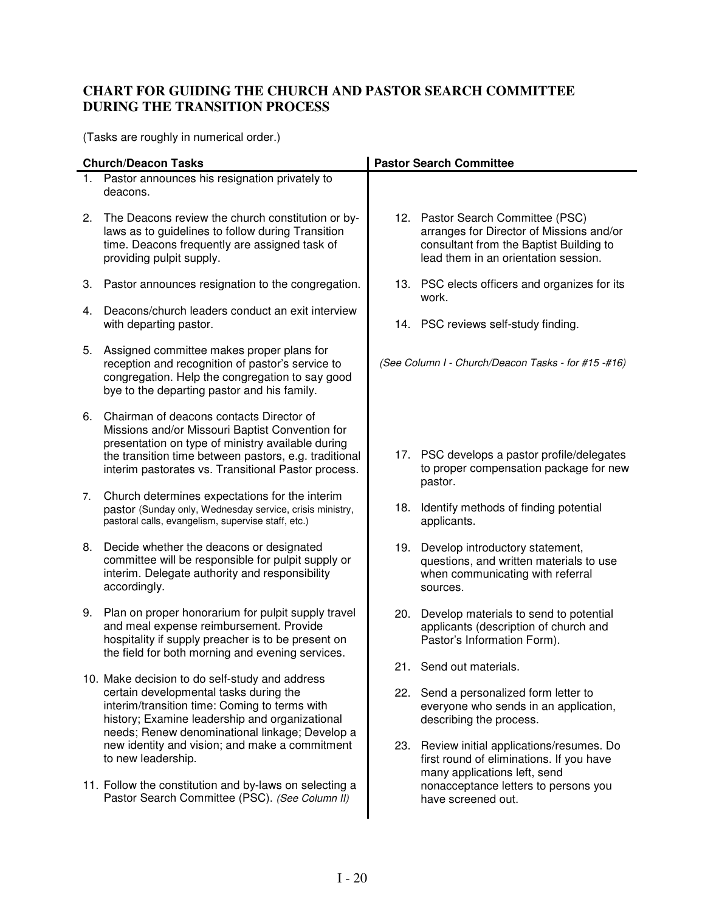# **CHART FOR GUIDING THE CHURCH AND PASTOR SEARCH COMMITTEE DURING THE TRANSITION PROCESS**

(Tasks are roughly in numerical order.)

|    | <b>Church/Deacon Tasks</b>                                                                                                                                                                                                                                       |     | <b>Pastor Search Committee</b>                                                                                                                                   |
|----|------------------------------------------------------------------------------------------------------------------------------------------------------------------------------------------------------------------------------------------------------------------|-----|------------------------------------------------------------------------------------------------------------------------------------------------------------------|
|    | 1. Pastor announces his resignation privately to<br>deacons.                                                                                                                                                                                                     |     |                                                                                                                                                                  |
|    | 2. The Deacons review the church constitution or by-<br>laws as to guidelines to follow during Transition<br>time. Deacons frequently are assigned task of<br>providing pulpit supply.                                                                           |     | 12. Pastor Search Committee (PSC)<br>arranges for Director of Missions and/or<br>consultant from the Baptist Building to<br>lead them in an orientation session. |
| 3. | Pastor announces resignation to the congregation.                                                                                                                                                                                                                |     | 13. PSC elects officers and organizes for its<br>work.                                                                                                           |
| 4. | Deacons/church leaders conduct an exit interview<br>with departing pastor.                                                                                                                                                                                       |     | 14. PSC reviews self-study finding.                                                                                                                              |
| 5. | Assigned committee makes proper plans for<br>reception and recognition of pastor's service to<br>congregation. Help the congregation to say good<br>bye to the departing pastor and his family.                                                                  |     | (See Column I - Church/Deacon Tasks - for #15 -#16)                                                                                                              |
| 6. | Chairman of deacons contacts Director of<br>Missions and/or Missouri Baptist Convention for<br>presentation on type of ministry available during<br>the transition time between pastors, e.g. traditional<br>interim pastorates vs. Transitional Pastor process. |     | 17. PSC develops a pastor profile/delegates<br>to proper compensation package for new<br>pastor.                                                                 |
| 7. | Church determines expectations for the interim<br>pastor (Sunday only, Wednesday service, crisis ministry,<br>pastoral calls, evangelism, supervise staff, etc.)                                                                                                 | 18. | Identify methods of finding potential<br>applicants.                                                                                                             |
| 8. | Decide whether the deacons or designated<br>committee will be responsible for pulpit supply or<br>interim. Delegate authority and responsibility<br>accordingly.                                                                                                 |     | 19. Develop introductory statement,<br>questions, and written materials to use<br>when communicating with referral<br>sources.                                   |
| 9. | Plan on proper honorarium for pulpit supply travel<br>and meal expense reimbursement. Provide<br>hospitality if supply preacher is to be present on<br>the field for both morning and evening services.                                                          | 20. | Develop materials to send to potential<br>applicants (description of church and<br>Pastor's Information Form).                                                   |
|    | 10. Make decision to do self-study and address                                                                                                                                                                                                                   |     | 21. Send out materials.                                                                                                                                          |
|    | certain developmental tasks during the<br>interim/transition time: Coming to terms with<br>history; Examine leadership and organizational<br>needs; Renew denominational linkage; Develop a                                                                      |     | 22. Send a personalized form letter to<br>everyone who sends in an application,<br>describing the process.                                                       |
|    | new identity and vision; and make a commitment<br>to new leadership.                                                                                                                                                                                             |     | 23. Review initial applications/resumes. Do<br>first round of eliminations. If you have<br>many applications left, send                                          |
|    | 11. Follow the constitution and by-laws on selecting a<br>Pastor Search Committee (PSC). (See Column II)                                                                                                                                                         |     | nonacceptance letters to persons you<br>have screened out.                                                                                                       |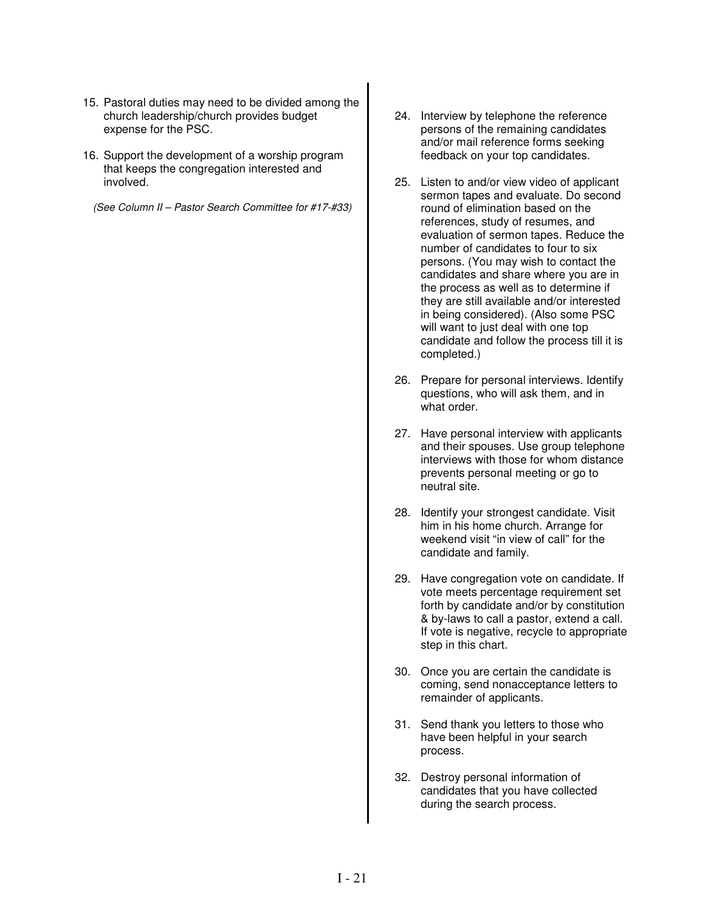- 15. Pastoral duties may need to be divided among the church leadership/church provides budget expense for the PSC.
- 16. Support the development of a worship program that keeps the congregation interested and involved.

*(See Column II – Pastor Search Committee for #17-#33)*

- 24. Interview by telephone the reference persons of the remaining candidates and/or mail reference forms seeking feedback on your top candidates.
- 25. Listen to and/or view video of applicant sermon tapes and evaluate. Do second round of elimination based on the references, study of resumes, and evaluation of sermon tapes. Reduce the number of candidates to four to six persons. (You may wish to contact the candidates and share where you are in the process as well as to determine if they are still available and/or interested in being considered). (Also some PSC will want to just deal with one top candidate and follow the process till it is completed.)
- 26. Prepare for personal interviews. Identify questions, who will ask them, and in what order.
- 27. Have personal interview with applicants and their spouses. Use group telephone interviews with those for whom distance prevents personal meeting or go to neutral site.
- 28. Identify your strongest candidate. Visit him in his home church. Arrange for weekend visit "in view of call" for the candidate and family.
- 29. Have congregation vote on candidate. If vote meets percentage requirement set forth by candidate and/or by constitution & by-laws to call a pastor, extend a call. If vote is negative, recycle to appropriate step in this chart.
- 30. Once you are certain the candidate is coming, send nonacceptance letters to remainder of applicants.
- 31. Send thank you letters to those who have been helpful in your search process.
- 32. Destroy personal information of candidates that you have collected during the search process.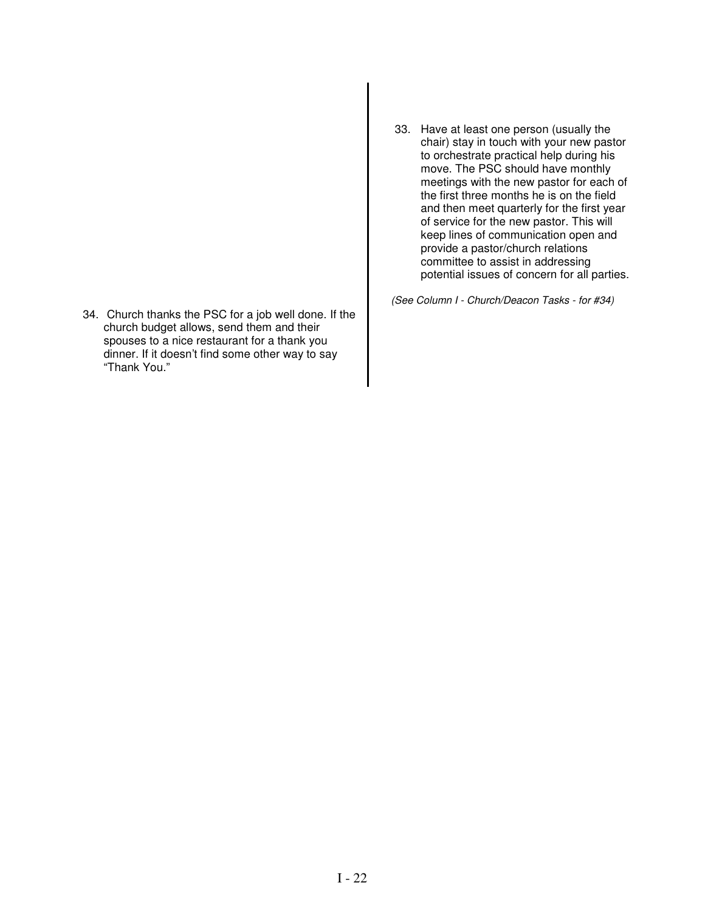- 34. Church thanks the PSC for a job well done. If the church budget allows, send them and their spouses to a nice restaurant for a thank you dinner. If it doesn't find some other way to say "Thank You."
- 33. Have at least one person (usually the chair) stay in touch with your new pastor to orchestrate practical help during his move. The PSC should have monthly meetings with the new pastor for each of the first three months he is on the field and then meet quarterly for the first year of service for the new pastor. This will keep lines of communication open and provide a pastor/church relations committee to assist in addressing potential issues of concern for all parties.

*(See Column I - Church/Deacon Tasks - for #34)*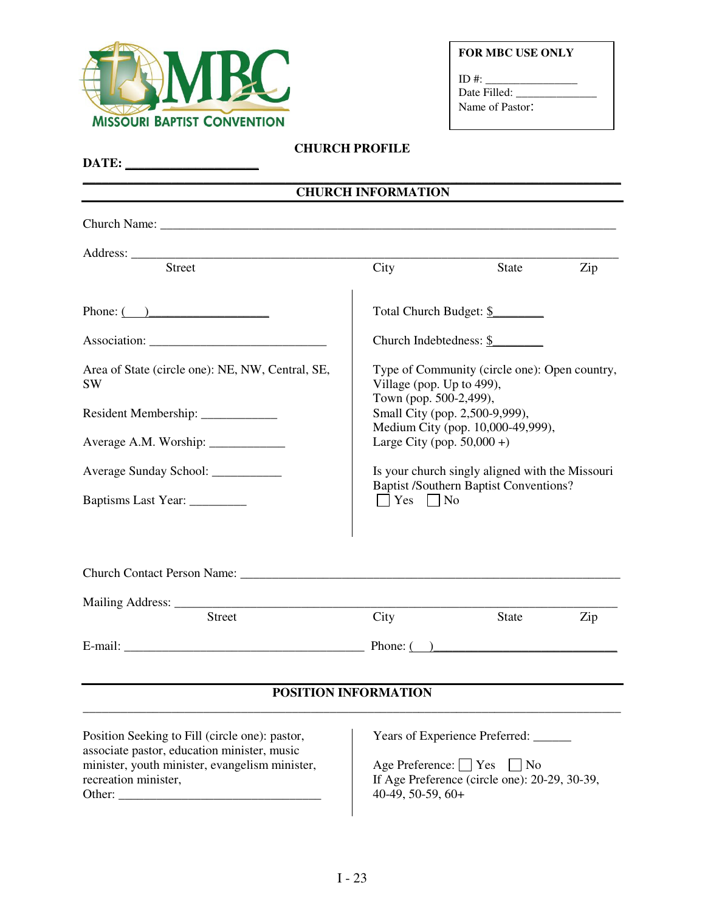

|  |  |  | <b>FOR MBC USE ONLY</b> |
|--|--|--|-------------------------|
|--|--|--|-------------------------|

| ID #:           |  |
|-----------------|--|
| Date Filled:    |  |
| Name of Pastor: |  |

# **CHURCH PROFILE**

|                                                                                                                                                                         | <b>CHURCH INFORMATION</b>                                                   |                                                                                                  |     |  |  |
|-------------------------------------------------------------------------------------------------------------------------------------------------------------------------|-----------------------------------------------------------------------------|--------------------------------------------------------------------------------------------------|-----|--|--|
|                                                                                                                                                                         |                                                                             |                                                                                                  |     |  |  |
|                                                                                                                                                                         |                                                                             |                                                                                                  |     |  |  |
| <b>Street</b>                                                                                                                                                           | City                                                                        | State                                                                                            | Zip |  |  |
|                                                                                                                                                                         |                                                                             | Total Church Budget: \$                                                                          |     |  |  |
|                                                                                                                                                                         |                                                                             | Church Indebtedness: \$                                                                          |     |  |  |
| Area of State (circle one): NE, NW, Central, SE,<br>SW                                                                                                                  | Type of Community (circle one): Open country,<br>Village (pop. Up to 499),  |                                                                                                  |     |  |  |
|                                                                                                                                                                         |                                                                             | Town (pop. 500-2,499),<br>Small City (pop. 2,500-9,999),<br>Medium City (pop. 10,000-49,999),    |     |  |  |
|                                                                                                                                                                         | Large City (pop. $50,000 +$ )                                               |                                                                                                  |     |  |  |
| Average Sunday School: ___________                                                                                                                                      |                                                                             | Is your church singly aligned with the Missouri                                                  |     |  |  |
| Baptisms Last Year: __________                                                                                                                                          | <b>Baptist /Southern Baptist Conventions?</b><br>$\bigcap$ Yes $\bigcap$ No |                                                                                                  |     |  |  |
|                                                                                                                                                                         |                                                                             |                                                                                                  |     |  |  |
|                                                                                                                                                                         |                                                                             |                                                                                                  |     |  |  |
| <b>Street</b>                                                                                                                                                           | City                                                                        | State                                                                                            | Zip |  |  |
|                                                                                                                                                                         |                                                                             |                                                                                                  |     |  |  |
|                                                                                                                                                                         | POSITION INFORMATION                                                        |                                                                                                  |     |  |  |
| Position Seeking to Fill (circle one): pastor,<br>associate pastor, education minister, music<br>minister, youth minister, evangelism minister,<br>recreation minister, | Age Preference: Yes<br>40-49, 50-59, 60+                                    | Years of Experience Preferred: ______<br>$ $ No<br>If Age Preference (circle one): 20-29, 30-39, |     |  |  |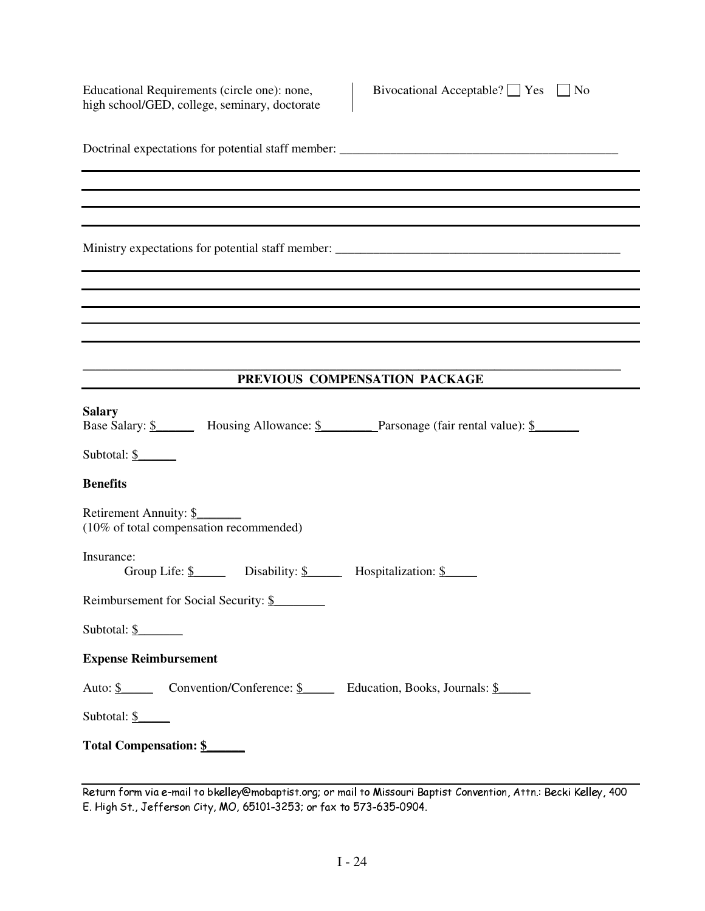Educational Requirements (circle one): none, high school/GED, college, seminary, doctorate Bivocational Acceptable?  $\Box$  Yes  $\Box$  No

| PREVIOUS COMPENSATION PACKAGE                                                                          |
|--------------------------------------------------------------------------------------------------------|
|                                                                                                        |
| <b>Salary</b><br>Base Salary: \$ Housing Allowance: \$ Parsonage (fair rental value): \$               |
| Subtotal: $\frac{\S}{}$                                                                                |
| <b>Benefits</b>                                                                                        |
| Retirement Annuity: \$<br>(10% of total compensation recommended)                                      |
| Insurance:<br>Group Life: $\frac{\S}{\S}$ Disability: $\frac{\S}{\S}$ Hospitalization: $\frac{\S}{\S}$ |
| Reimbursement for Social Security: \$                                                                  |
| Subtotal: $\frac{\S}{}$                                                                                |
| <b>Expense Reimbursement</b>                                                                           |
| Auto: <u>\$</u> Convention/Conference: <u>\$</u> Education, Books, Journals: <u>\$</u>                 |
| Subtotal: \$                                                                                           |
| Total Compensation: \$                                                                                 |

<sup>-</sup>  !#" \$&%'% \$(\*),+-!.0/12 314 -5768 9:<;=>?@79BAC> DD 9E:>GF=H@0> D@JIG9\*K LMGK@> 9KNOP@Q@KR'S TU\*VWXYU&Z'Z U[ \]#^-^\_a`0bdc e\*fhgji`'klnm\*oom\*p7qrsdtuc iwv-kxzy{k0|-}u~j~ aa 0J,7{#a -#aG-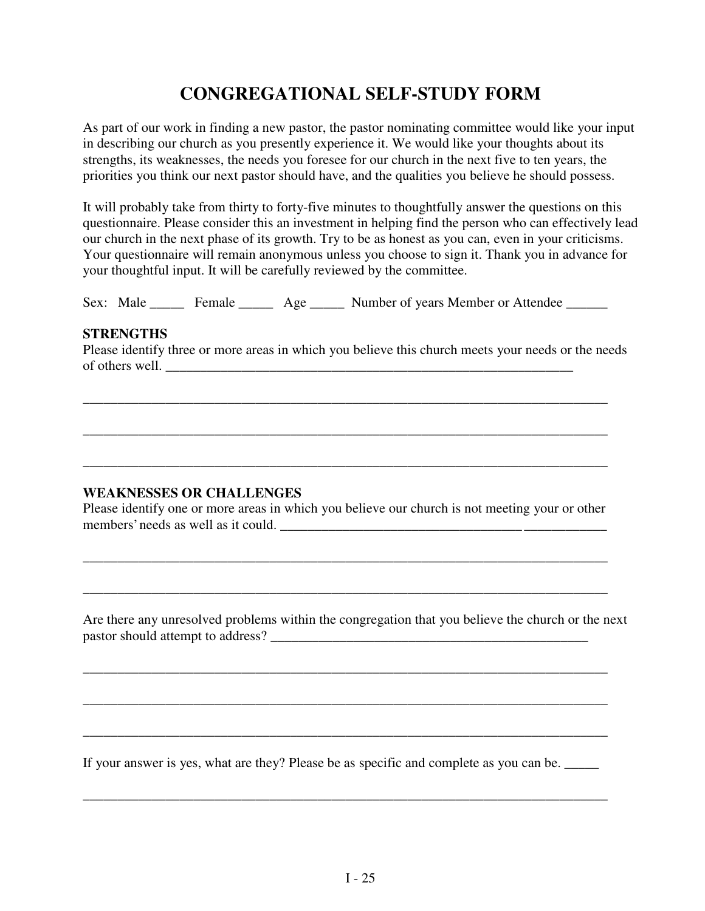# **CONGREGATIONAL SELF-STUDY FORM**

As part of our work in finding a new pastor, the pastor nominating committee would like your input in describing our church as you presently experience it. We would like your thoughts about its strengths, its weaknesses, the needs you foresee for our church in the next five to ten years, the priorities you think our next pastor should have, and the qualities you believe he should possess.

It will probably take from thirty to forty-five minutes to thoughtfully answer the questions on this questionnaire. Please consider this an investment in helping find the person who can effectively lead our church in the next phase of its growth. Try to be as honest as you can, even in your criticisms. Your questionnaire will remain anonymous unless you choose to sign it. Thank you in advance for your thoughtful input. It will be carefully reviewed by the committee.

Sex: Male \_\_\_\_\_ Female \_\_\_\_\_ Age \_\_\_\_\_ Number of years Member or Attendee \_\_\_\_\_\_

#### **STRENGTHS**

Please identify three or more areas in which you believe this church meets your needs or the needs of others well. \_\_\_\_\_\_\_\_\_\_\_\_\_\_\_\_\_\_\_\_\_\_\_\_\_\_\_\_\_\_\_\_\_\_\_\_\_\_\_\_\_\_\_\_\_\_\_\_\_\_\_\_\_\_\_\_\_\_\_

\_\_\_\_\_\_\_\_\_\_\_\_\_\_\_\_\_\_\_\_\_\_\_\_\_\_\_\_\_\_\_\_\_\_\_\_\_\_\_\_\_\_\_\_\_\_\_\_\_\_\_\_\_\_\_\_\_\_\_\_\_\_\_\_\_\_\_\_\_\_\_\_\_\_\_\_

\_\_\_\_\_\_\_\_\_\_\_\_\_\_\_\_\_\_\_\_\_\_\_\_\_\_\_\_\_\_\_\_\_\_\_\_\_\_\_\_\_\_\_\_\_\_\_\_\_\_\_\_\_\_\_\_\_\_\_\_\_\_\_\_\_\_\_\_\_\_\_\_\_\_\_\_

\_\_\_\_\_\_\_\_\_\_\_\_\_\_\_\_\_\_\_\_\_\_\_\_\_\_\_\_\_\_\_\_\_\_\_\_\_\_\_\_\_\_\_\_\_\_\_\_\_\_\_\_\_\_\_\_\_\_\_\_\_\_\_\_\_\_\_\_\_\_\_\_\_\_\_\_

## **WEAKNESSES OR CHALLENGES**

Please identify one or more areas in which you believe our church is not meeting your or other members' needs as well as it could.

\_\_\_\_\_\_\_\_\_\_\_\_\_\_\_\_\_\_\_\_\_\_\_\_\_\_\_\_\_\_\_\_\_\_\_\_\_\_\_\_\_\_\_\_\_\_\_\_\_\_\_\_\_\_\_\_\_\_\_\_\_\_\_\_\_\_\_\_\_\_\_\_\_\_\_\_

\_\_\_\_\_\_\_\_\_\_\_\_\_\_\_\_\_\_\_\_\_\_\_\_\_\_\_\_\_\_\_\_\_\_\_\_\_\_\_\_\_\_\_\_\_\_\_\_\_\_\_\_\_\_\_\_\_\_\_\_\_\_\_\_\_\_\_\_\_\_\_\_\_\_\_\_

\_\_\_\_\_\_\_\_\_\_\_\_\_\_\_\_\_\_\_\_\_\_\_\_\_\_\_\_\_\_\_\_\_\_\_\_\_\_\_\_\_\_\_\_\_\_\_\_\_\_\_\_\_\_\_\_\_\_\_\_\_\_\_\_\_\_\_\_\_\_\_\_\_\_\_\_

\_\_\_\_\_\_\_\_\_\_\_\_\_\_\_\_\_\_\_\_\_\_\_\_\_\_\_\_\_\_\_\_\_\_\_\_\_\_\_\_\_\_\_\_\_\_\_\_\_\_\_\_\_\_\_\_\_\_\_\_\_\_\_\_\_\_\_\_\_\_\_\_\_\_\_\_

\_\_\_\_\_\_\_\_\_\_\_\_\_\_\_\_\_\_\_\_\_\_\_\_\_\_\_\_\_\_\_\_\_\_\_\_\_\_\_\_\_\_\_\_\_\_\_\_\_\_\_\_\_\_\_\_\_\_\_\_\_\_\_\_\_\_\_\_\_\_\_\_\_\_\_\_

Are there any unresolved problems within the congregation that you believe the church or the next pastor should attempt to address? \_\_\_\_\_\_\_\_\_\_\_\_\_\_\_\_\_\_\_\_\_\_\_\_\_\_\_\_\_\_\_\_\_\_\_\_\_\_\_\_\_\_\_\_\_\_

If your answer is yes, what are they? Please be as specific and complete as you can be.

\_\_\_\_\_\_\_\_\_\_\_\_\_\_\_\_\_\_\_\_\_\_\_\_\_\_\_\_\_\_\_\_\_\_\_\_\_\_\_\_\_\_\_\_\_\_\_\_\_\_\_\_\_\_\_\_\_\_\_\_\_\_\_\_\_\_\_\_\_\_\_\_\_\_\_\_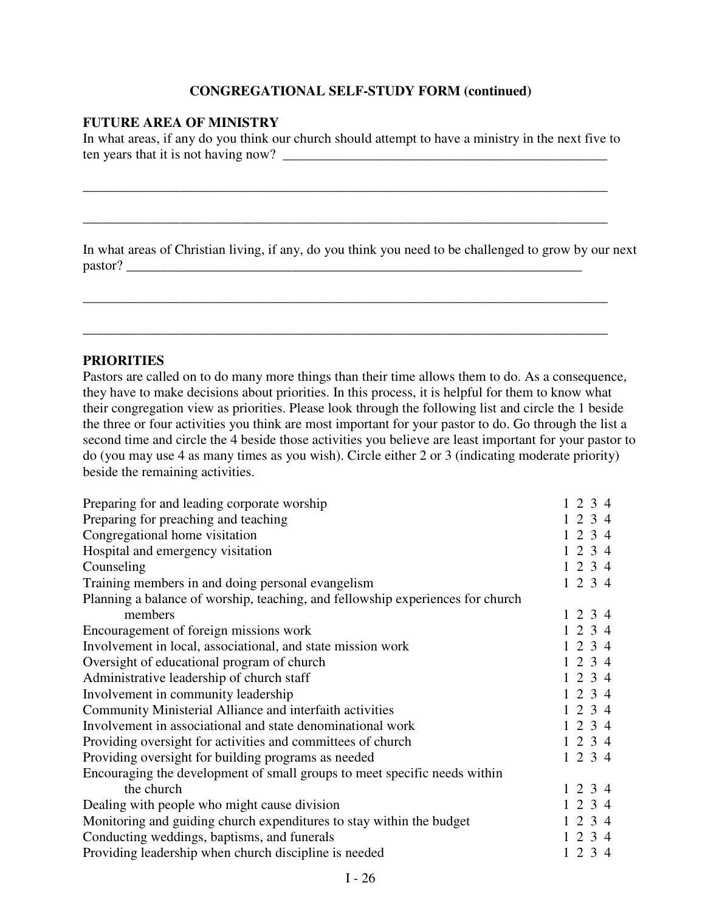### **CONGREGATIONAL SELF-STUDY FORM (continued)**

#### **FUTURE AREA OF MINISTRY**

In what areas, if any do you think our church should attempt to have a ministry in the next five to ten years that it is not having now? \_\_\_\_\_\_\_\_\_\_\_\_\_\_\_\_\_\_\_\_\_\_\_\_\_\_\_\_\_\_\_\_\_\_\_\_\_\_\_\_\_\_\_\_\_\_\_

\_\_\_\_\_\_\_\_\_\_\_\_\_\_\_\_\_\_\_\_\_\_\_\_\_\_\_\_\_\_\_\_\_\_\_\_\_\_\_\_\_\_\_\_\_\_\_\_\_\_\_\_\_\_\_\_\_\_\_\_\_\_\_\_\_\_\_\_\_\_\_\_\_\_\_\_

\_\_\_\_\_\_\_\_\_\_\_\_\_\_\_\_\_\_\_\_\_\_\_\_\_\_\_\_\_\_\_\_\_\_\_\_\_\_\_\_\_\_\_\_\_\_\_\_\_\_\_\_\_\_\_\_\_\_\_\_\_\_\_\_\_\_\_\_\_\_\_\_\_\_\_\_

\_\_\_\_\_\_\_\_\_\_\_\_\_\_\_\_\_\_\_\_\_\_\_\_\_\_\_\_\_\_\_\_\_\_\_\_\_\_\_\_\_\_\_\_\_\_\_\_\_\_\_\_\_\_\_\_\_\_\_\_\_\_\_\_\_\_\_\_\_\_\_\_\_\_\_\_

\_\_\_\_\_\_\_\_\_\_\_\_\_\_\_\_\_\_\_\_\_\_\_\_\_\_\_\_\_\_\_\_\_\_\_\_\_\_\_\_\_\_\_\_\_\_\_\_\_\_\_\_\_\_\_\_\_\_\_\_\_\_\_\_\_\_\_\_\_\_\_\_\_\_\_\_

In what areas of Christian living, if any, do you think you need to be challenged to grow by our next pastor? \_\_\_\_\_\_\_\_\_\_\_\_\_\_\_\_\_\_\_\_\_\_\_\_\_\_\_\_\_\_\_\_\_\_\_\_\_\_\_\_\_\_\_\_\_\_\_\_\_\_\_\_\_\_\_\_\_\_\_\_\_\_\_\_\_\_

#### **PRIORITIES**

Pastors are called on to do many more things than their time allows them to do. As a consequence, they have to make decisions about priorities. In this process, it is helpful for them to know what their congregation view as priorities. Please look through the following list and circle the 1 beside the three or four activities you think are most important for your pastor to do. Go through the list a second time and circle the 4 beside those activities you believe are least important for your pastor to do (you may use 4 as many times as you wish). Circle either 2 or 3 (indicating moderate priority) beside the remaining activities.

| Preparing for and leading corporate worship                                    |  | $1\ 2\ 3\ 4$ |
|--------------------------------------------------------------------------------|--|--------------|
| Preparing for preaching and teaching                                           |  | 1234         |
| Congregational home visitation                                                 |  | 1234         |
| Hospital and emergency visitation                                              |  | 1234         |
| Counseling                                                                     |  | 1234         |
| Training members in and doing personal evangelism                              |  | 1234         |
| Planning a balance of worship, teaching, and fellowship experiences for church |  |              |
| members                                                                        |  | $1\ 2\ 3\ 4$ |
| Encouragement of foreign missions work                                         |  | 1234         |
| Involvement in local, associational, and state mission work                    |  | 1234         |
| Oversight of educational program of church                                     |  | 1234         |
| Administrative leadership of church staff                                      |  | 1234         |
| Involvement in community leadership                                            |  | 1234         |
| Community Ministerial Alliance and interfaith activities                       |  | $1\ 2\ 3\ 4$ |
| Involvement in associational and state denominational work                     |  | 1234         |
| Providing oversight for activities and committees of church                    |  | 1234         |
| Providing oversight for building programs as needed                            |  | 1234         |
| Encouraging the development of small groups to meet specific needs within      |  |              |
| the church                                                                     |  | 1234         |
| Dealing with people who might cause division                                   |  | 1234         |
| Monitoring and guiding church expenditures to stay within the budget           |  | 1234         |
| Conducting weddings, baptisms, and funerals                                    |  | 1234         |
| Providing leadership when church discipline is needed                          |  | 1234         |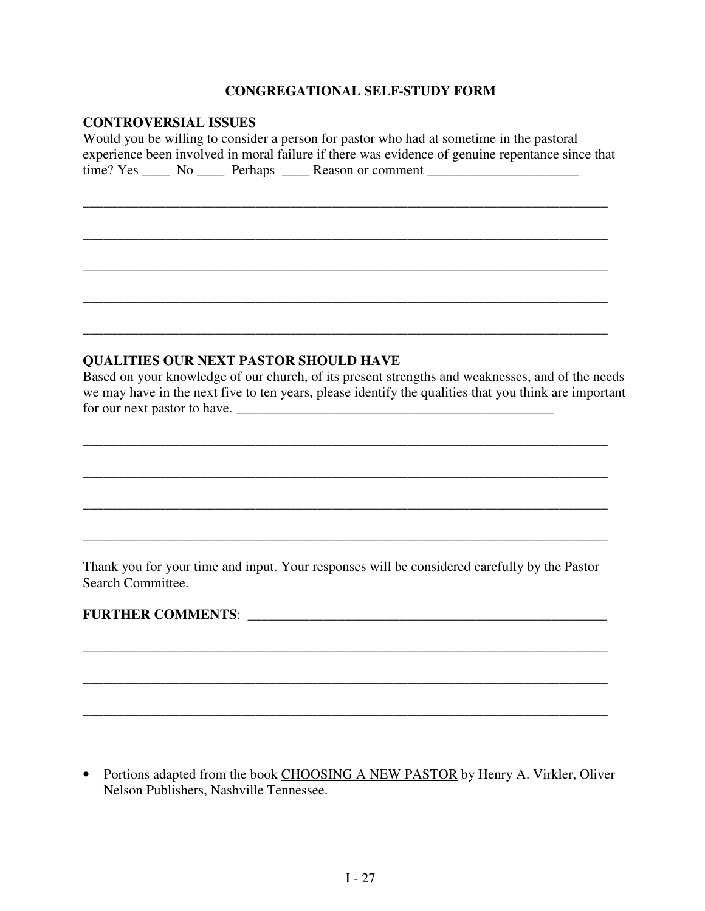### **CONGREGATIONAL SELF-STUDY FORM**

#### **CONTROVERSIAL ISSUES**

Would you be willing to consider a person for pastor who had at sometime in the pastoral experience been involved in moral failure if there was evidence of genuine repentance since that  $time? Yes \_\_\_\_\_\_\_\_\$  Perhaps  $\_\_\_\$  Reason or comment  $\_\_\_\_\_\_\_\_\_\$ 

\_\_\_\_\_\_\_\_\_\_\_\_\_\_\_\_\_\_\_\_\_\_\_\_\_\_\_\_\_\_\_\_\_\_\_\_\_\_\_\_\_\_\_\_\_\_\_\_\_\_\_\_\_\_\_\_\_\_\_\_\_\_\_\_\_\_\_\_\_\_\_\_\_\_\_\_

\_\_\_\_\_\_\_\_\_\_\_\_\_\_\_\_\_\_\_\_\_\_\_\_\_\_\_\_\_\_\_\_\_\_\_\_\_\_\_\_\_\_\_\_\_\_\_\_\_\_\_\_\_\_\_\_\_\_\_\_\_\_\_\_\_\_\_\_\_\_\_\_\_\_\_\_

\_\_\_\_\_\_\_\_\_\_\_\_\_\_\_\_\_\_\_\_\_\_\_\_\_\_\_\_\_\_\_\_\_\_\_\_\_\_\_\_\_\_\_\_\_\_\_\_\_\_\_\_\_\_\_\_\_\_\_\_\_\_\_\_\_\_\_\_\_\_\_\_\_\_\_\_

\_\_\_\_\_\_\_\_\_\_\_\_\_\_\_\_\_\_\_\_\_\_\_\_\_\_\_\_\_\_\_\_\_\_\_\_\_\_\_\_\_\_\_\_\_\_\_\_\_\_\_\_\_\_\_\_\_\_\_\_\_\_\_\_\_\_\_\_\_\_\_\_\_\_\_\_

\_\_\_\_\_\_\_\_\_\_\_\_\_\_\_\_\_\_\_\_\_\_\_\_\_\_\_\_\_\_\_\_\_\_\_\_\_\_\_\_\_\_\_\_\_\_\_\_\_\_\_\_\_\_\_\_\_\_\_\_\_\_\_\_\_\_\_\_\_\_\_\_\_\_\_\_

#### **QUALITIES OUR NEXT PASTOR SHOULD HAVE**

Based on your knowledge of our church, of its present strengths and weaknesses, and of the needs we may have in the next five to ten years, please identify the qualities that you think are important for our next pastor to have.

\_\_\_\_\_\_\_\_\_\_\_\_\_\_\_\_\_\_\_\_\_\_\_\_\_\_\_\_\_\_\_\_\_\_\_\_\_\_\_\_\_\_\_\_\_\_\_\_\_\_\_\_\_\_\_\_\_\_\_\_\_\_\_\_\_\_\_\_\_\_\_\_\_\_\_\_

\_\_\_\_\_\_\_\_\_\_\_\_\_\_\_\_\_\_\_\_\_\_\_\_\_\_\_\_\_\_\_\_\_\_\_\_\_\_\_\_\_\_\_\_\_\_\_\_\_\_\_\_\_\_\_\_\_\_\_\_\_\_\_\_\_\_\_\_\_\_\_\_\_\_\_\_

\_\_\_\_\_\_\_\_\_\_\_\_\_\_\_\_\_\_\_\_\_\_\_\_\_\_\_\_\_\_\_\_\_\_\_\_\_\_\_\_\_\_\_\_\_\_\_\_\_\_\_\_\_\_\_\_\_\_\_\_\_\_\_\_\_\_\_\_\_\_\_\_\_\_\_\_

\_\_\_\_\_\_\_\_\_\_\_\_\_\_\_\_\_\_\_\_\_\_\_\_\_\_\_\_\_\_\_\_\_\_\_\_\_\_\_\_\_\_\_\_\_\_\_\_\_\_\_\_\_\_\_\_\_\_\_\_\_\_\_\_\_\_\_\_\_\_\_\_\_\_\_\_

Thank you for your time and input. Your responses will be considered carefully by the Pastor Search Committee.

\_\_\_\_\_\_\_\_\_\_\_\_\_\_\_\_\_\_\_\_\_\_\_\_\_\_\_\_\_\_\_\_\_\_\_\_\_\_\_\_\_\_\_\_\_\_\_\_\_\_\_\_\_\_\_\_\_\_\_\_\_\_\_\_\_\_\_\_\_\_\_\_\_\_\_\_

\_\_\_\_\_\_\_\_\_\_\_\_\_\_\_\_\_\_\_\_\_\_\_\_\_\_\_\_\_\_\_\_\_\_\_\_\_\_\_\_\_\_\_\_\_\_\_\_\_\_\_\_\_\_\_\_\_\_\_\_\_\_\_\_\_\_\_\_\_\_\_\_\_\_\_\_

\_\_\_\_\_\_\_\_\_\_\_\_\_\_\_\_\_\_\_\_\_\_\_\_\_\_\_\_\_\_\_\_\_\_\_\_\_\_\_\_\_\_\_\_\_\_\_\_\_\_\_\_\_\_\_\_\_\_\_\_\_\_\_\_\_\_\_\_\_\_\_\_\_\_\_\_

### **FURTHER COMMENTS**: \_\_\_\_\_\_\_\_\_\_\_\_\_\_\_\_\_\_\_\_\_\_\_\_\_\_\_\_\_\_\_\_\_\_\_\_\_\_\_\_\_\_\_\_\_\_\_\_\_\_\_\_

• Portions adapted from the book CHOOSING A NEW PASTOR by Henry A. Virkler, Oliver Nelson Publishers, Nashville Tennessee.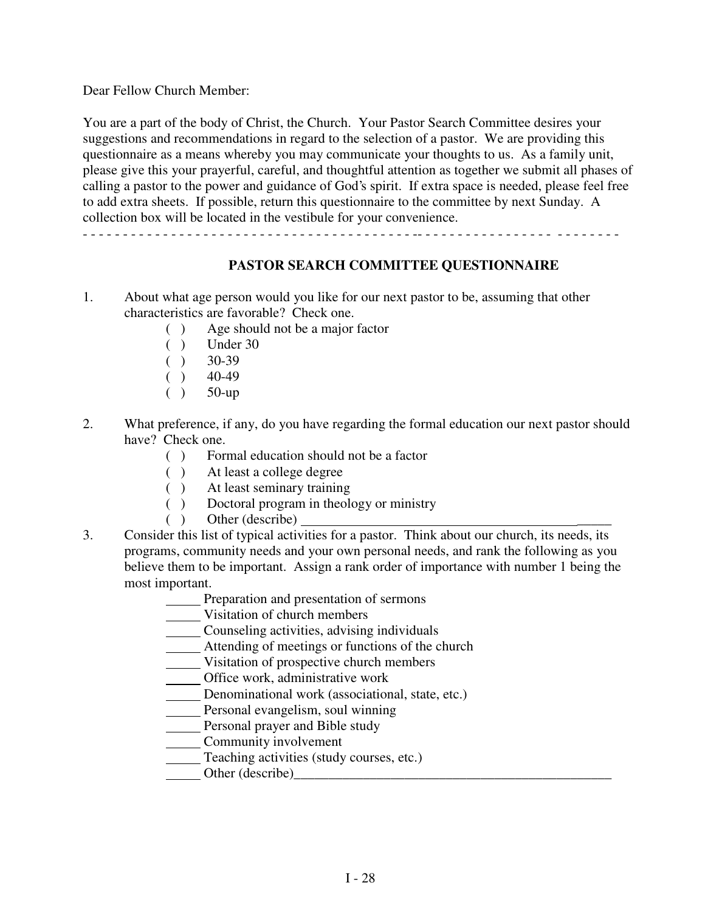Dear Fellow Church Member:

You are a part of the body of Christ, the Church. Your Pastor Search Committee desires your suggestions and recommendations in regard to the selection of a pastor. We are providing this questionnaire as a means whereby you may communicate your thoughts to us. As a family unit, please give this your prayerful, careful, and thoughtful attention as together we submit all phases of calling a pastor to the power and guidance of God's spirit. If extra space is needed, please feel free to add extra sheets. If possible, return this questionnaire to the committee by next Sunday. A collection box will be located in the vestibule for your convenience.

- - - - - - - - - - - - - - - - - - - - - - - - - - - - - - - - - - - - - - - - - -- - - - - - - - - - - - - - - - - - - - - - - - -

## **PASTOR SEARCH COMMITTEE QUESTIONNAIRE**

- 1. About what age person would you like for our next pastor to be, assuming that other characteristics are favorable? Check one.
	- ( ) Age should not be a major factor
	- ( ) Under 30
	- $( ) 30-39$
	- $( ) 40-49$
	- $( ) 50$ -up
- 2. What preference, if any, do you have regarding the formal education our next pastor should have? Check one.
	- ( ) Formal education should not be a factor
	- ( ) At least a college degree
	- ( ) At least seminary training
	- ( ) Doctoral program in theology or ministry
	- $()$  Other (describe)
- 3. Consider this list of typical activities for a pastor. Think about our church, its needs, its programs, community needs and your own personal needs, and rank the following as you believe them to be important. Assign a rank order of importance with number 1 being the most important.
	- Preparation and presentation of sermons
	- Visitation of church members
	- Counseling activities, advising individuals
	- Attending of meetings or functions of the church
	- Visitation of prospective church members
	- Office work, administrative work
	- Denominational work (associational, state, etc.)
	- **Personal evangelism, soul winning**
	- **Personal prayer and Bible study**
	- **Community involvement**
	- Teaching activities (study courses, etc.)
	- Other  $(describe)$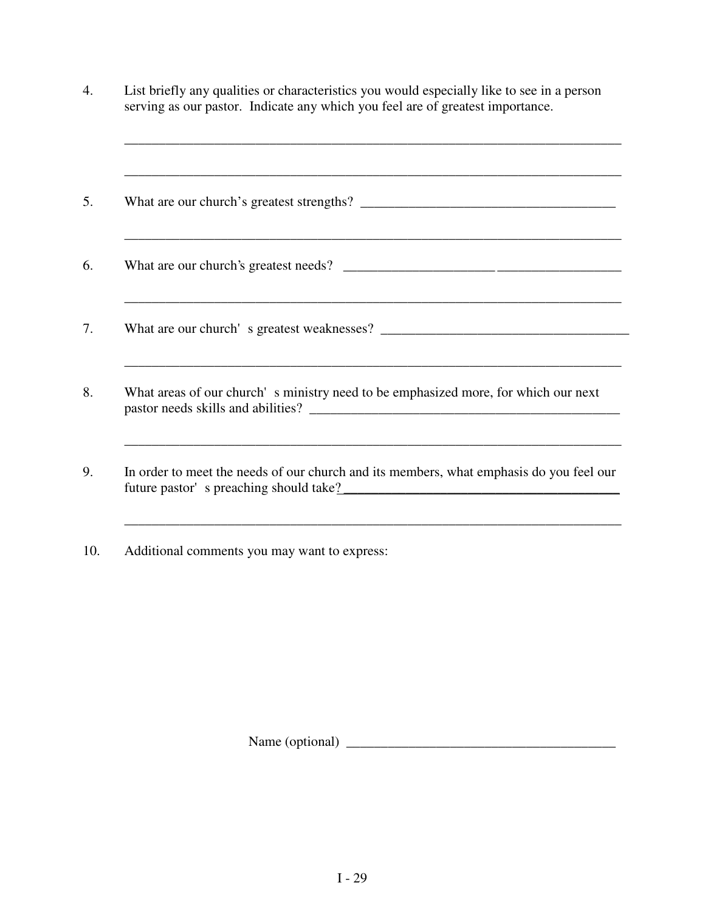| ,我们也不能在这里的时候,我们也不能在这里的时候,我们也不能会在这里的时候,我们也不能会在这里的时候,我们也不能会在这里的时候,我们也不能会在这里的时候,我们也不                                                 |
|-----------------------------------------------------------------------------------------------------------------------------------|
|                                                                                                                                   |
|                                                                                                                                   |
|                                                                                                                                   |
| What areas of our church's ministry need to be emphasized more, for which our next                                                |
| In order to meet the needs of our church and its members, what emphasis do you feel our<br>future pastor's preaching should take? |

10. Additional comments you may want to express:

Name (optional) \_\_\_\_\_\_\_\_\_\_\_\_\_\_\_\_\_\_\_\_\_\_\_\_\_\_\_\_\_\_\_\_\_\_\_\_\_\_\_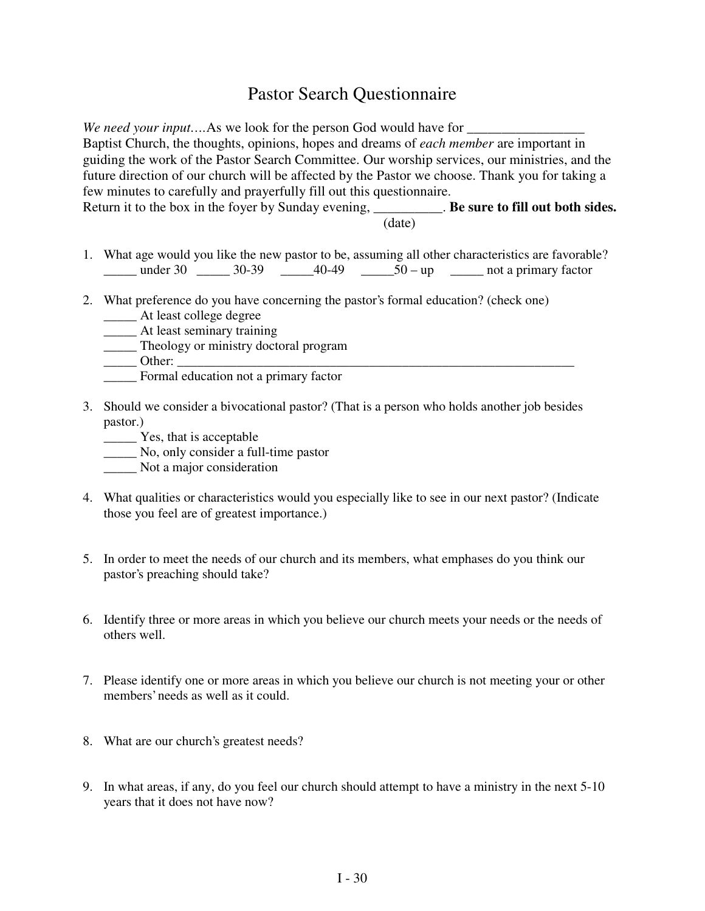# Pastor Search Questionnaire

*We need your input....As we look for the person God would have for* Baptist Church, the thoughts, opinions, hopes and dreams of *each member* are important in guiding the work of the Pastor Search Committee. Our worship services, our ministries, and the future direction of our church will be affected by the Pastor we choose. Thank you for taking a few minutes to carefully and prayerfully fill out this questionnaire. Return it to the box in the foyer by Sunday evening, **Be sure to fill out both sides.** (date)

- 1. What age would you like the new pastor to be, assuming all other characteristics are favorable?  $\frac{\text{under 30}}{\text{under 30}}$   $\frac{30-39}{\text{under 30}}$   $\frac{40-49}{\text{under 50}}$   $\frac{50}{\text{sup}}$   $\frac{100}{\text{under 30}}$  not a primary factor
- 2. What preference do you have concerning the pastor's formal education? (check one)
	- \_\_\_\_\_ At least college degree
	- \_\_\_\_\_ At least seminary training
	- \_\_\_\_\_ Theology or ministry doctoral program
	- $\rule{1em}{0}$  Other:
	- \_\_\_\_\_ Formal education not a primary factor
- 3. Should we consider a bivocational pastor? (That is a person who holds another job besides pastor.)
	- \_\_\_\_\_ Yes, that is acceptable
	- \_\_\_\_\_ No, only consider a full-time pastor
	- \_\_\_\_\_ Not a major consideration
- 4. What qualities or characteristics would you especially like to see in our next pastor? (Indicate those you feel are of greatest importance.)
- 5. In order to meet the needs of our church and its members, what emphases do you think our pastor's preaching should take?
- 6. Identify three or more areas in which you believe our church meets your needs or the needs of others well.
- 7. Please identify one or more areas in which you believe our church is not meeting your or other members' needs as well as it could.
- 8. What are our church's greatest needs?
- 9. In what areas, if any, do you feel our church should attempt to have a ministry in the next 5-10 years that it does not have now?